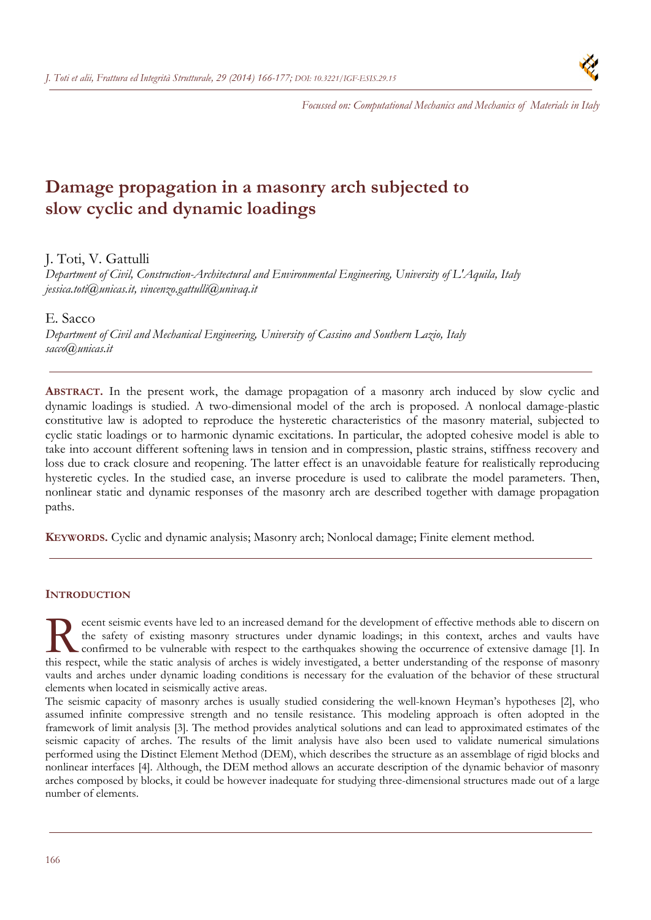

*Focussed on: Computational Mechanics and Mechanics of Materials in Italy*

# **Damage propagation in a masonry arch subjected to slow cyclic and dynamic loadings**

# J. Toti, V. Gattulli

*Department of Civil, Construction-Architectural and Environmental Engineering, University of L'Aquila, Italy jessica.toti@unicas.it, vincenzo.gattulli@univaq.it* 

# E. Sacco

*Department of Civil and Mechanical Engineering, University of Cassino and Southern Lazio, Italy sacco@unicas.it* 

**ABSTRACT.** In the present work, the damage propagation of a masonry arch induced by slow cyclic and dynamic loadings is studied. A two-dimensional model of the arch is proposed. A nonlocal damage-plastic constitutive law is adopted to reproduce the hysteretic characteristics of the masonry material, subjected to cyclic static loadings or to harmonic dynamic excitations. In particular, the adopted cohesive model is able to take into account different softening laws in tension and in compression, plastic strains, stiffness recovery and loss due to crack closure and reopening. The latter effect is an unavoidable feature for realistically reproducing hysteretic cycles. In the studied case, an inverse procedure is used to calibrate the model parameters. Then, nonlinear static and dynamic responses of the masonry arch are described together with damage propagation paths.

**KEYWORDS.** Cyclic and dynamic analysis; Masonry arch; Nonlocal damage; Finite element method.

# **INTRODUCTION**

ecent seismic events have led to an increased demand for the development of effective methods able to discern on the safety of existing masonry structures under dynamic loadings; in this context, arches and vaults have confirmed to be vulnerable with respect to the earthquakes showing the occurrence of extensive damage [1]. In The safety of existing masonry structures under dynamic loadings; in this context, arches and vaults have confirmed to be vulnerable with respect to the earthquakes showing the occurrence of extensive damage [1]. In this r vaults and arches under dynamic loading conditions is necessary for the evaluation of the behavior of these structural elements when located in seismically active areas.

The seismic capacity of masonry arches is usually studied considering the well-known Heyman's hypotheses [2], who assumed infinite compressive strength and no tensile resistance. This modeling approach is often adopted in the framework of limit analysis [3]. The method provides analytical solutions and can lead to approximated estimates of the seismic capacity of arches. The results of the limit analysis have also been used to validate numerical simulations performed using the Distinct Element Method (DEM), which describes the structure as an assemblage of rigid blocks and nonlinear interfaces [4]. Although, the DEM method allows an accurate description of the dynamic behavior of masonry arches composed by blocks, it could be however inadequate for studying three-dimensional structures made out of a large number of elements.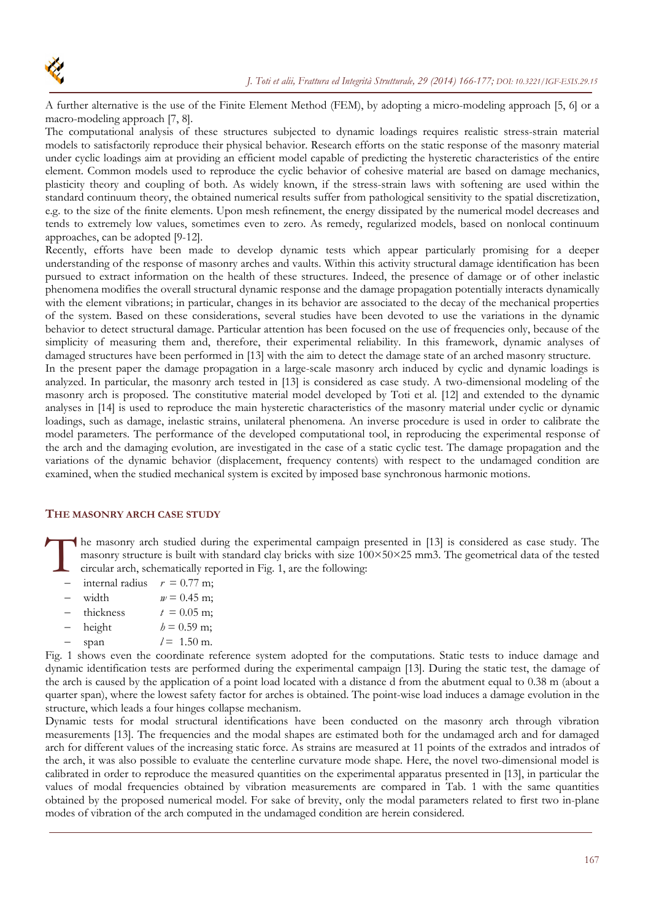

A further alternative is the use of the Finite Element Method (FEM), by adopting a micro-modeling approach [5, 6] or a macro-modeling approach [7, 8].

The computational analysis of these structures subjected to dynamic loadings requires realistic stress-strain material models to satisfactorily reproduce their physical behavior. Research efforts on the static response of the masonry material under cyclic loadings aim at providing an efficient model capable of predicting the hysteretic characteristics of the entire element. Common models used to reproduce the cyclic behavior of cohesive material are based on damage mechanics, plasticity theory and coupling of both. As widely known, if the stress-strain laws with softening are used within the standard continuum theory, the obtained numerical results suffer from pathological sensitivity to the spatial discretization, e.g. to the size of the finite elements. Upon mesh refinement, the energy dissipated by the numerical model decreases and tends to extremely low values, sometimes even to zero. As remedy, regularized models, based on nonlocal continuum approaches, can be adopted [9-12].

Recently, efforts have been made to develop dynamic tests which appear particularly promising for a deeper understanding of the response of masonry arches and vaults. Within this activity structural damage identification has been pursued to extract information on the health of these structures. Indeed, the presence of damage or of other inelastic phenomena modifies the overall structural dynamic response and the damage propagation potentially interacts dynamically with the element vibrations; in particular, changes in its behavior are associated to the decay of the mechanical properties of the system. Based on these considerations, several studies have been devoted to use the variations in the dynamic behavior to detect structural damage. Particular attention has been focused on the use of frequencies only, because of the simplicity of measuring them and, therefore, their experimental reliability. In this framework, dynamic analyses of damaged structures have been performed in [13] with the aim to detect the damage state of an arched masonry structure.

In the present paper the damage propagation in a large-scale masonry arch induced by cyclic and dynamic loadings is analyzed. In particular, the masonry arch tested in [13] is considered as case study. A two-dimensional modeling of the masonry arch is proposed. The constitutive material model developed by Toti et al. [12] and extended to the dynamic analyses in [14] is used to reproduce the main hysteretic characteristics of the masonry material under cyclic or dynamic loadings, such as damage, inelastic strains, unilateral phenomena. An inverse procedure is used in order to calibrate the model parameters. The performance of the developed computational tool, in reproducing the experimental response of the arch and the damaging evolution, are investigated in the case of a static cyclic test. The damage propagation and the variations of the dynamic behavior (displacement, frequency contents) with respect to the undamaged condition are examined, when the studied mechanical system is excited by imposed base synchronous harmonic motions.

## **THE MASONRY ARCH CASE STUDY**

he masonry arch studied during the experimental campaign presented in [13] is considered as case study. The masonry structure is built with standard clay bricks with size 100×50×25 mm3. The geometrical data of the tested circular arch, schematically reported in Fig. 1, are the following:  $\prod_{\substack{m\\ \text{cm}}}$ 

- internal radius  $r = 0.77$  m;
- width  $w = 0.45$  m;
- thickness  $t = 0.05$  m;
- $-$  height  $h = 0.59$  m;
- $-$  span  $l = 1.50$  m.

Fig. 1 shows even the coordinate reference system adopted for the computations. Static tests to induce damage and dynamic identification tests are performed during the experimental campaign [13]. During the static test, the damage of the arch is caused by the application of a point load located with a distance d from the abutment equal to 0.38 m (about a quarter span), where the lowest safety factor for arches is obtained. The point-wise load induces a damage evolution in the structure, which leads a four hinges collapse mechanism.

Dynamic tests for modal structural identifications have been conducted on the masonry arch through vibration measurements [13]. The frequencies and the modal shapes are estimated both for the undamaged arch and for damaged arch for different values of the increasing static force. As strains are measured at 11 points of the extrados and intrados of the arch, it was also possible to evaluate the centerline curvature mode shape. Here, the novel two-dimensional model is calibrated in order to reproduce the measured quantities on the experimental apparatus presented in [13], in particular the values of modal frequencies obtained by vibration measurements are compared in Tab. 1 with the same quantities obtained by the proposed numerical model. For sake of brevity, only the modal parameters related to first two in-plane modes of vibration of the arch computed in the undamaged condition are herein considered.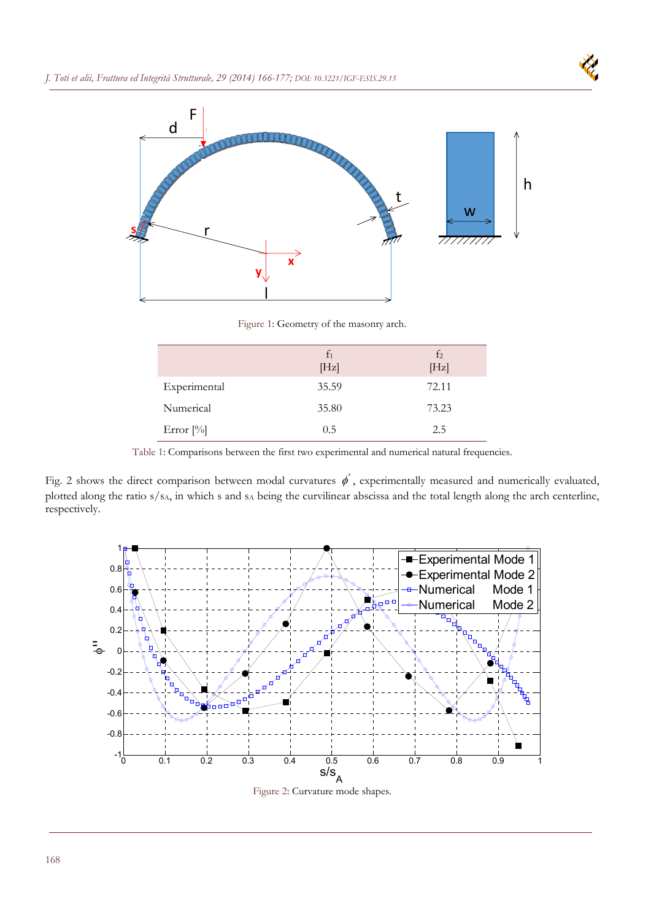



Figure 1: Geometry of the masonry arch.

|              | $f_1$ | f <sub>2</sub> |
|--------------|-------|----------------|
|              | [Hz]  | [Hz]           |
| Experimental | 35.59 | 72.11          |
| Numerical    | 35.80 | 73.23          |
| Error $[\%]$ | 0.5   | 2.5            |

Table 1: Comparisons between the first two experimental and numerical natural frequencies.

Fig. 2 shows the direct comparison between modal curvatures  $\phi$ <sup>"</sup>, experimentally measured and numerically evaluated, plotted along the ratio s/s<sub>A</sub>, in which s and s<sub>A</sub> being the curvilinear abscissa and the total length along the arch centerline, respectively.



Figure 2: Curvature mode shapes.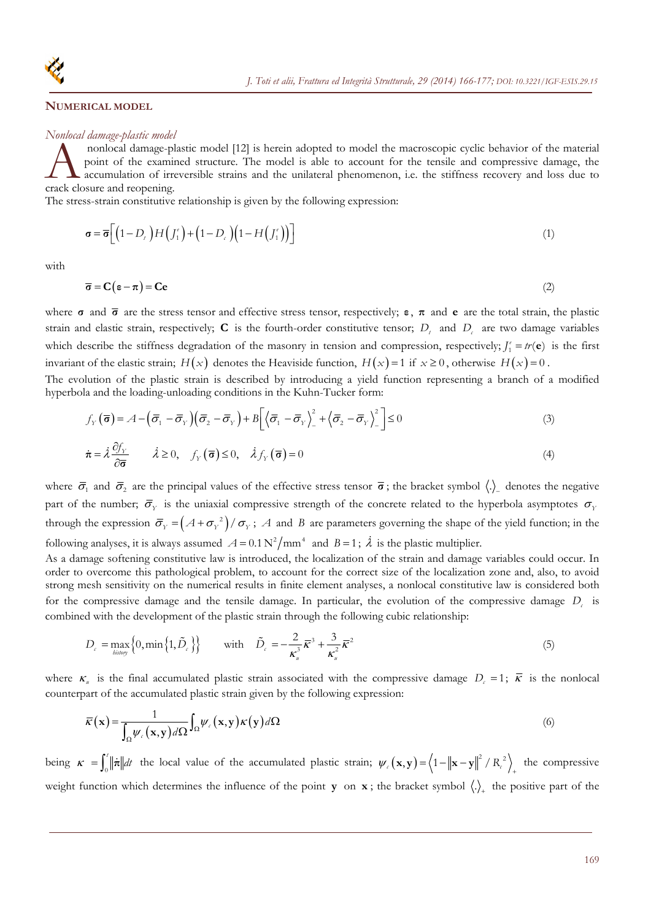

### **NUMERICAL MODEL**

#### *Nonlocal damage-plastic model*

 nonlocal damage-plastic model [12] is herein adopted to model the macroscopic cyclic behavior of the material point of the examined structure. The model is able to account for the tensile and compressive damage, the  $\blacktriangle$  accumulation of irreversible strains and the unilateral phenomenon, i.e. the stiffness recovery and loss due to monocal damage-plant<br>point of the examin<br>crack closure and reopening.

The stress-strain constitutive relationship is given by the following expression:

$$
\boldsymbol{\sigma} = \boldsymbol{\overline{\sigma}} \Big[ \Big( 1 - D_t \Big) H \Big( J_1^\epsilon \Big) + \Big( 1 - D_c \Big) \Big( 1 - H \Big( J_1^\epsilon \Big) \Big) \Big] \tag{1}
$$

with

$$
\overline{\sigma} = C(\varepsilon - \pi) = Ce \tag{2}
$$

where **σ** and **σ** are the stress tensor and effective stress tensor, respectively; **ε** , **π** and **e** are the total strain, the plastic strain and elastic strain, respectively;  $C$  is the fourth-order constitutive tensor;  $D_t$  and  $D_c$  are two damage variables which describe the stiffness degradation of the masonry in tension and compression, respectively;  $J_1^e = tr(\mathbf{e})$  is the first invariant of the elastic strain;  $H(x)$  denotes the Heaviside function,  $H(x)=1$  if  $x\geq 0$ , otherwise  $H(x)=0$ . The evolution of the plastic strain is described by introducing a yield function representing a branch of a modified

hyperbola and the loading-unloading conditions in the Kuhn-Tucker form:

$$
f_Y(\overline{\boldsymbol{\sigma}}) = \mathcal{A} - (\overline{\sigma}_1 - \overline{\sigma}_Y)(\overline{\sigma}_2 - \overline{\sigma}_Y) + B \left[ \left\langle \overline{\sigma}_1 - \overline{\sigma}_Y \right\rangle^2 - \left\langle \overline{\sigma}_2 - \overline{\sigma}_Y \right\rangle^2 \right] \le 0 \tag{3}
$$

$$
\dot{\boldsymbol{\pi}} = \dot{\lambda} \frac{\partial f_Y}{\partial \overline{\boldsymbol{\sigma}}} \qquad \dot{\lambda} \ge 0, \quad f_Y(\overline{\boldsymbol{\sigma}}) \le 0, \quad \dot{\lambda} f_Y(\overline{\boldsymbol{\sigma}}) = 0 \tag{4}
$$

where  $\bar{\sigma}_1$  and  $\bar{\sigma}_2$  are the principal values of the effective stress tensor  $\bar{\sigma}$ ; the bracket symbol  $\langle \cdot \rangle$  denotes the negative part of the number;  $\bar{\sigma}_Y$  is the uniaxial compressive strength of the concrete related to the hyperbola asymptotes  $\sigma_Y$ through the expression  $\bar{\sigma}_y = (A + \sigma_y^2)/\sigma_y$ ; *A* and *B* are parameters governing the shape of the yield function; in the following analyses, it is always assumed  $A = 0.1 \text{ N}^2/\text{mm}^4$  and  $B = 1$ ;  $\lambda$  is the plastic multiplier.

As a damage softening constitutive law is introduced, the localization of the strain and damage variables could occur. In order to overcome this pathological problem, to account for the correct size of the localization zone and, also, to avoid strong mesh sensitivity on the numerical results in finite element analyses, a nonlocal constitutive law is considered both for the compressive damage and the tensile damage. In particular, the evolution of the compressive damage *D<sub>c</sub>* is combined with the development of the plastic strain through the following cubic relationship:

$$
D_{c} = \max_{\text{binary}} \left\{ 0, \min \left\{ 1, \tilde{D}_{c} \right\} \right\} \quad \text{with} \quad \tilde{D}_{c} = -\frac{2}{\kappa_{u}^{3}} \overline{\kappa}^{3} + \frac{3}{\kappa_{u}^{2}} \overline{\kappa}^{2} \tag{5}
$$

where  $\kappa_n$  is the final accumulated plastic strain associated with the compressive damage  $D_c = 1$ ;  $\bar{\kappa}$  is the nonlocal counterpart of the accumulated plastic strain given by the following expression:

$$
\overline{\kappa}(\mathbf{x}) = \frac{1}{\int_{\Omega} \psi_{\epsilon}(\mathbf{x}, \mathbf{y}) d\Omega} \int_{\Omega} \psi_{\epsilon}(\mathbf{x}, \mathbf{y}) \kappa(\mathbf{y}) d\Omega
$$
\n(6)

being  $\kappa = \int_0^t \|\vec{\pi}\| dt$  the local value of the accumulated plastic strain;  $\psi_\varepsilon(\mathbf{x}, \mathbf{y}) = \left\langle 1 - \|\mathbf{x} - \mathbf{y}\|^2 / R_\varepsilon^2 \right\rangle_+$  the compressive weight function which determines the influence of the point **y** on **x**; the bracket symbol  $\langle . \rangle_+$  the positive part of the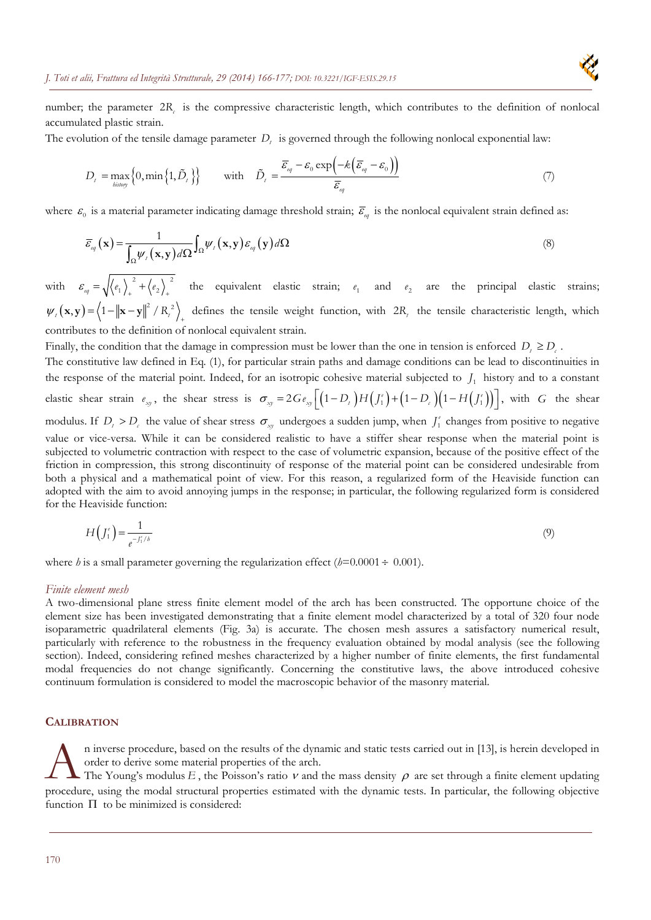

number; the parameter 2*R<sub>c</sub>* is the compressive characteristic length, which contributes to the definition of nonlocal accumulated plastic strain.

The evolution of the tensile damage parameter  $D_t$  is governed through the following nonlocal exponential law:

$$
D_{t} = \max_{\text{history}} \left\{ 0, \min \left\{ 1, \tilde{D}_{t} \right\} \right\} \quad \text{with} \quad \tilde{D}_{t} = \frac{\overline{\varepsilon}_{\text{eq}} - \varepsilon_{0} \exp \left( -k \left( \overline{\varepsilon}_{\text{eq}} - \varepsilon_{0} \right) \right)}{\overline{\varepsilon}_{\text{eq}}} \tag{7}
$$

where  $\epsilon_0$  is a material parameter indicating damage threshold strain;  $\bar{\epsilon}_\omega$  is the nonlocal equivalent strain defined as:

$$
\overline{\varepsilon}_{_{eq}}(\mathbf{x}) = \frac{1}{\int_{\Omega} \psi_{_{\ell}}(\mathbf{x}, \mathbf{y}) d\Omega} \int_{\Omega} \psi_{_{\ell}}(\mathbf{x}, \mathbf{y}) \varepsilon_{_{eq}}(\mathbf{y}) d\Omega \tag{8}
$$

with  $\varepsilon_{eq} = \sqrt{\langle e_1 \rangle_+^2 + \langle e_2 \rangle_+^2}$  the equivalent elastic strain;  $e_1$  and  $e_2$  are the principal elastic strains;  $\psi_i(\mathbf{x}, \mathbf{y}) = \left\langle 1 - ||\mathbf{x} - \mathbf{y}||^2 / R_i^2 \right\rangle_+$  defines the tensile weight function, with  $2R_i$  the tensile characteristic length, which contributes to the definition of nonlocal equivalent strain.

Finally, the condition that the damage in compression must be lower than the one in tension is enforced  $D_t \ge D_c$ .

The constitutive law defined in Eq. (1), for particular strain paths and damage conditions can be lead to discontinuities in the response of the material point. Indeed, for an isotropic cohesive material subjected to  $J_1$  history and to a constant elastic shear strain  $e_{xy}$ , the shear stress is  $\sigma_{xy} = 2Ge_{xy}\left[\left(1-D_t\right)H\left(J_1^e\right) + \left(1-D_c\right)\left(1-H\left(J_1^e\right)\right)\right]$ , with *G* the shear modulus. If  $D_t > D_c$  the value of shear stress  $\sigma_{xy}$  undergoes a sudden jump, when  $J_1^e$  changes from positive to negative value or vice-versa. While it can be considered realistic to have a stiffer shear response when the material point is subjected to volumetric contraction with respect to the case of volumetric expansion, because of the positive effect of the friction in compression, this strong discontinuity of response of the material point can be considered undesirable from both a physical and a mathematical point of view. For this reason, a regularized form of the Heaviside function can adopted with the aim to avoid annoying jumps in the response; in particular, the following regularized form is considered for the Heaviside function:

$$
H(f_1^{\epsilon}) = \frac{1}{e^{-f_1^{\epsilon}/b}}\tag{9}
$$

where *h* is a small parameter governing the regularization effect ( $h$ =0.0001 ÷ 0.001).

#### *Finite element mesh*

A two-dimensional plane stress finite element model of the arch has been constructed. The opportune choice of the element size has been investigated demonstrating that a finite element model characterized by a total of 320 four node isoparametric quadrilateral elements (Fig. 3a) is accurate. The chosen mesh assures a satisfactory numerical result, particularly with reference to the robustness in the frequency evaluation obtained by modal analysis (see the following section). Indeed, considering refined meshes characterized by a higher number of finite elements, the first fundamental modal frequencies do not change significantly. Concerning the constitutive laws, the above introduced cohesive continuum formulation is considered to model the macroscopic behavior of the masonry material.

## **CALIBRATION**

n inverse procedure, based on the results of the dynamic and static tests carried out in [13], is herein developed in order to derive some material properties of the arch.

The Young's modulus  $E$ , the Poisson's ratio  $\nu$  and the mass density  $\rho$  are set through a finite element updating procedure, using the modal structural properties estimated with the dynamic tests. In particular, the following objective function  $\Pi$  to be minimized is considered:  $A_{\text{th}}^{\text{on}}$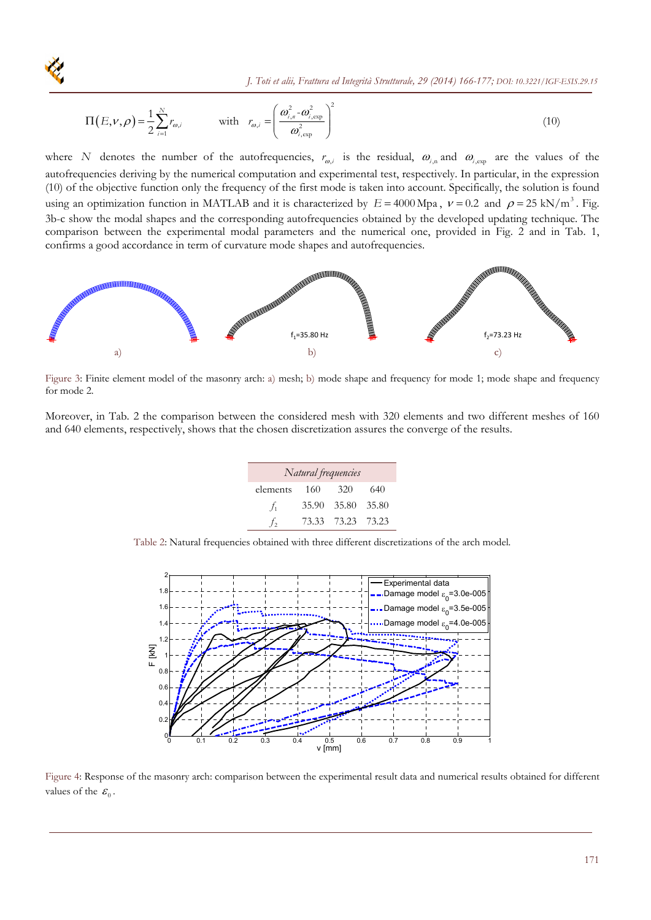

 *J. Toti et alii, Frattura ed Integrità Strutturale, 29 (2014) 166-177; DOI: 10.3221/IGF-ESIS.29.15*

$$
\Pi(E,\nu,\rho) = \frac{1}{2} \sum_{i=1}^{N} r_{\omega,i} \qquad \text{with} \quad r_{\omega,i} = \left(\frac{\omega_{i,n}^2 - \omega_{i,\exp}^2}{\omega_{i,\exp}^2}\right)^2 \tag{10}
$$

where *N* denotes the number of the autofrequencies,  $r_{\omega,i}$  is the residual,  $\omega_{i,n}$  and  $\omega_{i,exp}$  are the values of the autofrequencies deriving by the numerical computation and experimental test, respectively. In particular, in the expression (10) of the objective function only the frequency of the first mode is taken into account. Specifically, the solution is found using an optimization function in MATLAB and it is characterized by  $E = 4000 \text{ Mpa}$ ,  $v = 0.2$  and  $\rho = 25 \text{ kN/m}^3$ . Fig. 3b-c show the modal shapes and the corresponding autofrequencies obtained by the developed updating technique. The comparison between the experimental modal parameters and the numerical one, provided in Fig. 2 and in Tab. 1, confirms a good accordance in term of curvature mode shapes and autofrequencies.



Figure 3: Finite element model of the masonry arch: a) mesh; b) mode shape and frequency for mode 1; mode shape and frequency for mode 2.

Moreover, in Tab. 2 the comparison between the considered mesh with 320 elements and two different meshes of 160 and 640 elements, respectively, shows that the chosen discretization assures the converge of the results.

| Natural frequencies |       |                   |       |  |  |  |  |
|---------------------|-------|-------------------|-------|--|--|--|--|
| elements 160        |       | 320               | 640   |  |  |  |  |
| $f_1$               | 35.90 | 35.80             | 35.80 |  |  |  |  |
| $\mathcal{L}_{2}$   |       | 73.33 73.23 73.23 |       |  |  |  |  |

Table 2: Natural frequencies obtained with three different discretizations of the arch model.



Figure 4: Response of the masonry arch: comparison between the experimental result data and numerical results obtained for different values of the  $\mathcal{E}_0$ .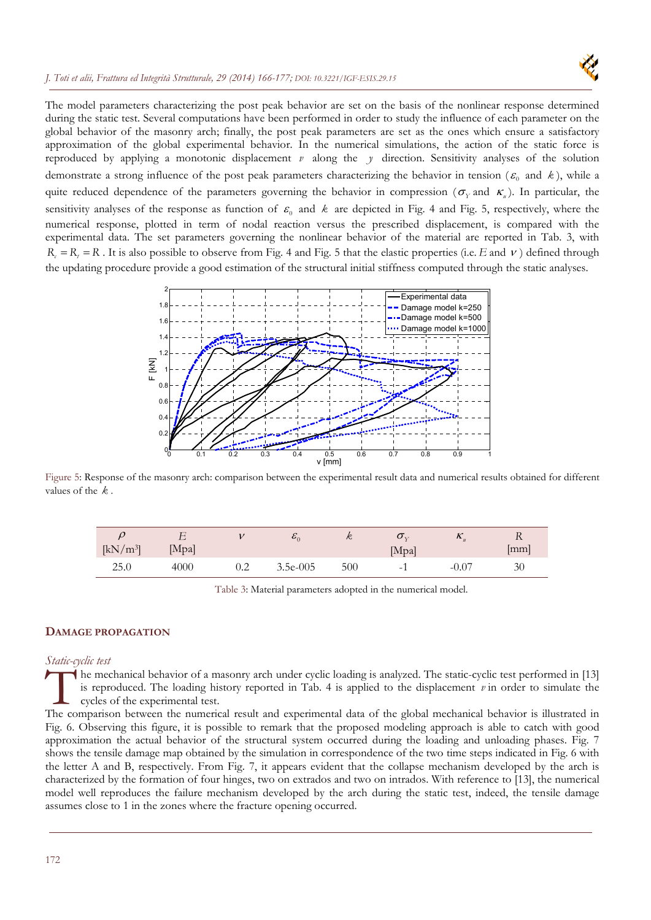

The model parameters characterizing the post peak behavior are set on the basis of the nonlinear response determined during the static test. Several computations have been performed in order to study the influence of each parameter on the global behavior of the masonry arch; finally, the post peak parameters are set as the ones which ensure a satisfactory approximation of the global experimental behavior. In the numerical simulations, the action of the static force is reproduced by applying a monotonic displacement *v* along the *y* direction. Sensitivity analyses of the solution demonstrate a strong influence of the post peak parameters characterizing the behavior in tension ( $\varepsilon_0$  and  $k$ ), while a quite reduced dependence of the parameters governing the behavior in compression ( $\sigma_y$  and  $K_y$ ). In particular, the sensitivity analyses of the response as function of  $\varepsilon_0$  and  $k$  are depicted in Fig. 4 and Fig. 5, respectively, where the numerical response, plotted in term of nodal reaction versus the prescribed displacement, is compared with the experimental data. The set parameters governing the nonlinear behavior of the material are reported in Tab. 3, with  $R<sub>c</sub> = R<sub>c</sub> = R$ . It is also possible to observe from Fig. 4 and Fig. 5 that the elastic properties (i.e. *E* and  $\nu$ ) defined through the updating procedure provide a good estimation of the structural initial stiffness computed through the static analyses.



Figure 5: Response of the masonry arch: comparison between the experimental result data and numerical results obtained for different values of the *k* .

|                      |       |     | $\boldsymbol{v}_0$ | $\mathcal{R}$ | ◡▿                       | $\mathbf{r}_{\mu}$ | V                  |
|----------------------|-------|-----|--------------------|---------------|--------------------------|--------------------|--------------------|
| [kN/m <sup>3</sup> ] | [Mpa] |     |                    |               | [Mpa]                    |                    | $\vert$ mm $\vert$ |
| 25.0                 | 4000  | ے د | $3.5e-005$         | 500           | $\overline{\phantom{0}}$ | $-0.07$            | 30                 |

Table 3: Material parameters adopted in the numerical model.

# **DAMAGE PROPAGATION**

## *Static-cyclic test*

he mechanical behavior of a masonry arch under cyclic loading is analyzed. The static-cyclic test performed in [13] is reproduced. The loading history reported in Tab. 4 is applied to the displacement *v* in order to simulate the cycles of the experimental test. The mechanical behavior of a masonry arch under cyclic loading is analyzed. The static-cyclic test performed in [13] is reproduced. The loading history reported in Tab. 4 is applied to the displacement  $\nu$  in order to sim

Fig. 6. Observing this figure, it is possible to remark that the proposed modeling approach is able to catch with good approximation the actual behavior of the structural system occurred during the loading and unloading phases. Fig. 7 shows the tensile damage map obtained by the simulation in correspondence of the two time steps indicated in Fig. 6 with the letter A and B, respectively. From Fig. 7, it appears evident that the collapse mechanism developed by the arch is characterized by the formation of four hinges, two on extrados and two on intrados. With reference to [13], the numerical model well reproduces the failure mechanism developed by the arch during the static test, indeed, the tensile damage assumes close to 1 in the zones where the fracture opening occurred.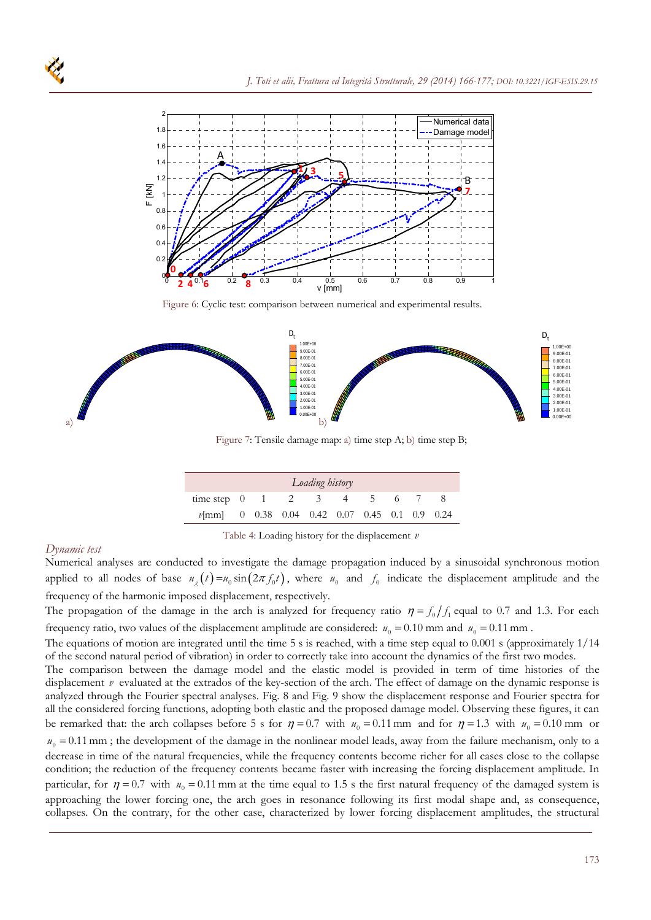

Figure 6: Cyclic test: comparison between numerical and experimental results.



Figure 7: Tensile damage map: a) time step A; b) time step B;

| Loading history                                  |  |  |  |  |  |  |  |  |  |
|--------------------------------------------------|--|--|--|--|--|--|--|--|--|
| time step $0 \t1 \t2 \t3 \t4 \t5 \t6 \t7$        |  |  |  |  |  |  |  |  |  |
| $v$ [mm] 0 0.38 0.04 0.42 0.07 0.45 0.1 0.9 0.24 |  |  |  |  |  |  |  |  |  |

Table 4: Loading history for the displacement *v*

# *Dynamic test*

Numerical analyses are conducted to investigate the damage propagation induced by a sinusoidal synchronous motion applied to all nodes of base  $u_{g}(t) = u_0 \sin(2\pi f_0 t)$ , where  $u_0$  and  $f_0$  indicate the displacement amplitude and the frequency of the harmonic imposed displacement, respectively.

The propagation of the damage in the arch is analyzed for frequency ratio  $\eta = f_0/f_1$  equal to 0.7 and 1.3. For each frequency ratio, two values of the displacement amplitude are considered:  $u_0 = 0.10$  mm and  $u_0 = 0.11$  mm.

The equations of motion are integrated until the time 5 s is reached, with a time step equal to 0.001 s (approximately 1/14 of the second natural period of vibration) in order to correctly take into account the dynamics of the first two modes.

The comparison between the damage model and the elastic model is provided in term of time histories of the displacement *v* evaluated at the extrados of the key-section of the arch. The effect of damage on the dynamic response is analyzed through the Fourier spectral analyses. Fig. 8 and Fig. 9 show the displacement response and Fourier spectra for all the considered forcing functions, adopting both elastic and the proposed damage model. Observing these figures, it can be remarked that: the arch collapses before 5 s for  $\eta = 0.7$  with  $u_0 = 0.11$  mm and for  $\eta = 1.3$  with  $u_0 = 0.10$  mm or  $u_0 = 0.11$  mm; the development of the damage in the nonlinear model leads, away from the failure mechanism, only to a decrease in time of the natural frequencies, while the frequency contents become richer for all cases close to the collapse condition; the reduction of the frequency contents became faster with increasing the forcing displacement amplitude. In particular, for  $\eta = 0.7$  with  $u_0 = 0.11$  mm at the time equal to 1.5 s the first natural frequency of the damaged system is approaching the lower forcing one, the arch goes in resonance following its first modal shape and, as consequence, collapses. On the contrary, for the other case, characterized by lower forcing displacement amplitudes, the structural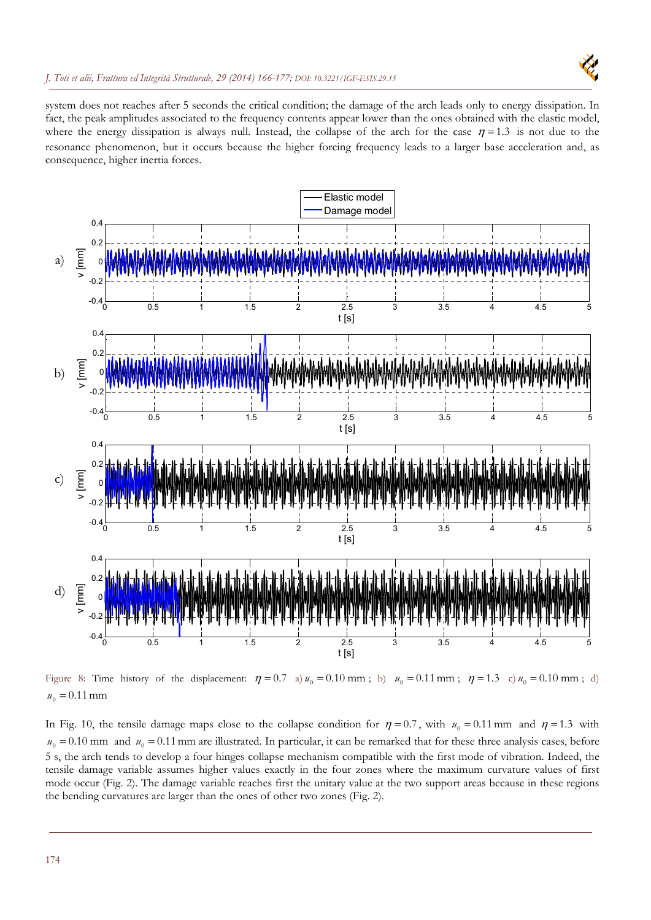

system does not reaches after 5 seconds the critical condition; the damage of the arch leads only to energy dissipation. In fact, the peak amplitudes associated to the frequency contents appear lower than the ones obtained with the elastic model, where the energy dissipation is always null. Instead, the collapse of the arch for the case  $\eta = 1.3$  is not due to the resonance phenomenon, but it occurs because the higher forcing frequency leads to a larger base acceleration and, as consequence, higher inertia forces.



Figure 8: Time history of the displacement:  $\eta = 0.7$  a)  $u_0 = 0.10$  mm; b)  $u_0 = 0.11$  mm;  $\eta = 1.3$  c)  $u_0 = 0.10$  mm; d)  $u_0 = 0.11$  mm

In Fig. 10, the tensile damage maps close to the collapse condition for  $\eta = 0.7$ , with  $u_0 = 0.11$  mm and  $\eta = 1.3$  with  $u_0 = 0.10$  mm and  $u_0 = 0.11$  mm are illustrated. In particular, it can be remarked that for these three analysis cases, before 5 s, the arch tends to develop a four hinges collapse mechanism compatible with the first mode of vibration. Indeed, the tensile damage variable assumes higher values exactly in the four zones where the maximum curvature values of first mode occur (Fig. 2). The damage variable reaches first the unitary value at the two support areas because in these regions the bending curvatures are larger than the ones of other two zones (Fig. 2).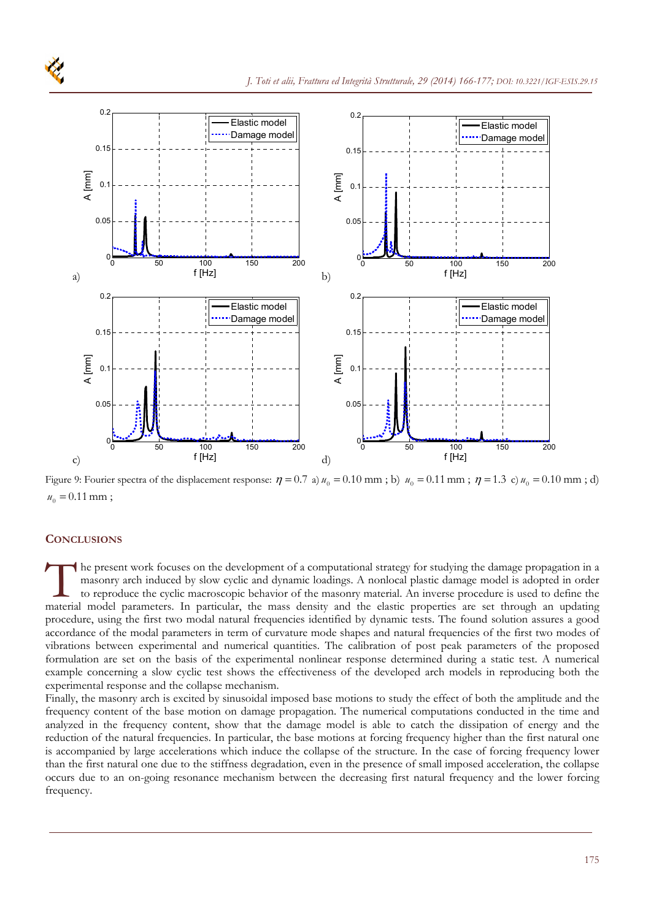

Figure 9: Fourier spectra of the displacement response:  $\eta = 0.7$  a)  $u_0 = 0.10$  mm; b)  $u_0 = 0.11$  mm;  $\eta = 1.3$  c)  $u_0 = 0.10$  mm; d)  $u_0 = 0.11$  mm;

# **CONCLUSIONS**

he present work focuses on the development of a computational strategy for studying the damage propagation in a masonry arch induced by slow cyclic and dynamic loadings. A nonlocal plastic damage model is adopted in order to reproduce the cyclic macroscopic behavior of the masonry material. An inverse procedure is used to define the The present work focuses on the development of a computational strategy for studying the damage propagation in a masonry arch induced by slow cyclic and dynamic loadings. A nonlocal plastic damage model is adopted in order procedure, using the first two modal natural frequencies identified by dynamic tests. The found solution assures a good accordance of the modal parameters in term of curvature mode shapes and natural frequencies of the first two modes of vibrations between experimental and numerical quantities. The calibration of post peak parameters of the proposed formulation are set on the basis of the experimental nonlinear response determined during a static test. A numerical example concerning a slow cyclic test shows the effectiveness of the developed arch models in reproducing both the experimental response and the collapse mechanism.

Finally, the masonry arch is excited by sinusoidal imposed base motions to study the effect of both the amplitude and the frequency content of the base motion on damage propagation. The numerical computations conducted in the time and analyzed in the frequency content, show that the damage model is able to catch the dissipation of energy and the reduction of the natural frequencies. In particular, the base motions at forcing frequency higher than the first natural one is accompanied by large accelerations which induce the collapse of the structure. In the case of forcing frequency lower than the first natural one due to the stiffness degradation, even in the presence of small imposed acceleration, the collapse occurs due to an on-going resonance mechanism between the decreasing first natural frequency and the lower forcing frequency.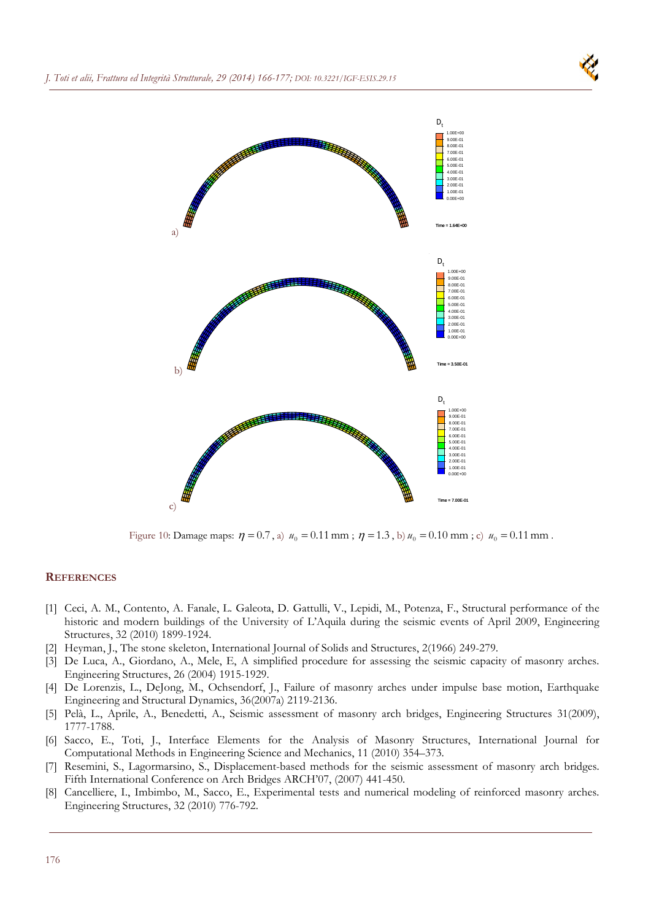



Figure 10: Damage maps:  $\eta = 0.7$ , a)  $u_0 = 0.11$  mm;  $\eta = 1.3$ , b)  $u_0 = 0.10$  mm; c)  $u_0 = 0.11$  mm.

# **REFERENCES**

- [1] Ceci, A. M., Contento, A. Fanale, L. Galeota, D. Gattulli, V., Lepidi, M., Potenza, F., Structural performance of the historic and modern buildings of the University of L'Aquila during the seismic events of April 2009, Engineering Structures, 32 (2010) 1899-1924.
- [2] Heyman, J., The stone skeleton, International Journal of Solids and Structures, 2(1966) 249-279.
- [3] De Luca, A., Giordano, A., Mele, E, A simplified procedure for assessing the seismic capacity of masonry arches. Engineering Structures, 26 (2004) 1915-1929.
- [4] De Lorenzis, L., DeJong, M., Ochsendorf, J., Failure of masonry arches under impulse base motion, Earthquake Engineering and Structural Dynamics, 36(2007a) 2119-2136.
- [5] Pelà, L., Aprile, A., Benedetti, A., Seismic assessment of masonry arch bridges, Engineering Structures 31(2009), 1777-1788.
- [6] Sacco, E., Toti, J., Interface Elements for the Analysis of Masonry Structures, International Journal for Computational Methods in Engineering Science and Mechanics, 11 (2010) 354–373.
- [7] Resemini, S., Lagormarsino, S., Displacement-based methods for the seismic assessment of masonry arch bridges. Fifth International Conference on Arch Bridges ARCH'07, (2007) 441-450.
- [8] Cancelliere, I., Imbimbo, M., Sacco, E., Experimental tests and numerical modeling of reinforced masonry arches. Engineering Structures, 32 (2010) 776-792.